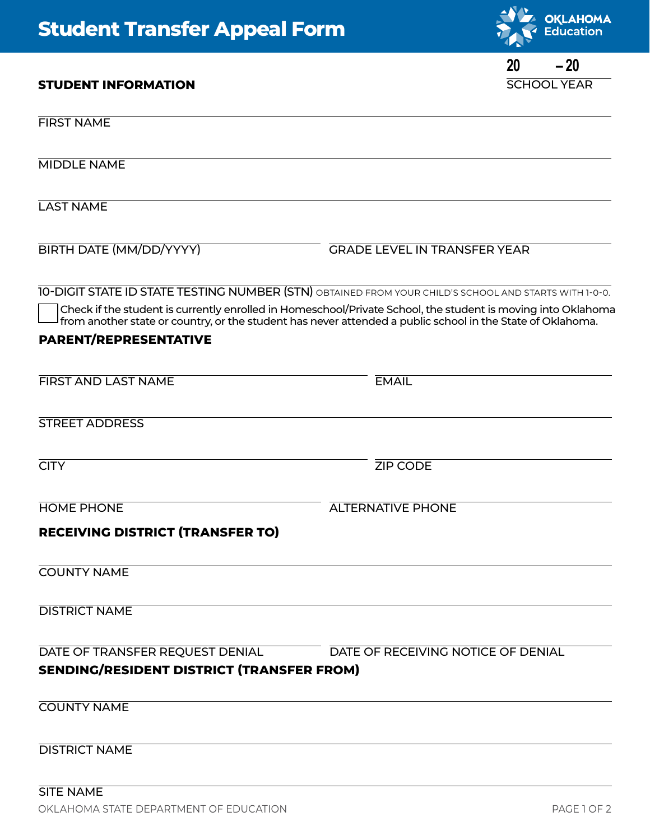## **Student Transfer Appeal Form**

**STUDENT INFORMATION**



## SCHOOL YEAR **20 – 20**

| <b>FIRST NAME</b>                                                                   |                                                                                                                                                                                                                            |
|-------------------------------------------------------------------------------------|----------------------------------------------------------------------------------------------------------------------------------------------------------------------------------------------------------------------------|
| <b>MIDDLE NAME</b>                                                                  |                                                                                                                                                                                                                            |
| <b>LAST NAME</b>                                                                    |                                                                                                                                                                                                                            |
| <b>BIRTH DATE (MM/DD/YYYY)</b>                                                      | <b>GRADE LEVEL IN TRANSFER YEAR</b>                                                                                                                                                                                        |
|                                                                                     | 10-DIGIT STATE ID STATE TESTING NUMBER (STN) OBTAINED FROM YOUR CHILD'S SCHOOL AND STARTS WITH 1-0-0.                                                                                                                      |
|                                                                                     | Check if the student is currently enrolled in Homeschool/Private School, the student is moving into Oklahoma<br>from another state or country, or the student has never attended a public school in the State of Oklahoma. |
| <b>PARENT/REPRESENTATIVE</b>                                                        |                                                                                                                                                                                                                            |
| <b>FIRST AND LAST NAME</b>                                                          | <b>EMAIL</b>                                                                                                                                                                                                               |
| <b>STREET ADDRESS</b>                                                               |                                                                                                                                                                                                                            |
| <b>CITY</b>                                                                         | <b>ZIP CODE</b>                                                                                                                                                                                                            |
| <b>HOME PHONE</b>                                                                   | <b>ALTERNATIVE PHONE</b>                                                                                                                                                                                                   |
| <b>RECEIVING DISTRICT (TRANSFER TO)</b>                                             |                                                                                                                                                                                                                            |
| <b>COUNTY NAME</b>                                                                  |                                                                                                                                                                                                                            |
| <b>DISTRICT NAME</b>                                                                |                                                                                                                                                                                                                            |
| DATE OF TRANSFER REQUEST DENIAL<br><b>SENDING/RESIDENT DISTRICT (TRANSFER FROM)</b> | DATE OF RECEIVING NOTICE OF DENIAL                                                                                                                                                                                         |
| <b>COUNTY NAME</b>                                                                  |                                                                                                                                                                                                                            |
| <b>DISTRICT NAME</b>                                                                |                                                                                                                                                                                                                            |
| <b>SITE NAME</b>                                                                    |                                                                                                                                                                                                                            |